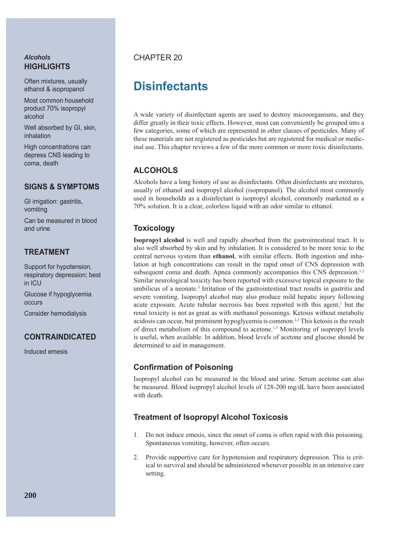#### *Alcohols* **HIGHLIGHTS**

Often mixtures, usually ethanol & isopropanol

Most common household product 70% isopropyl alcohol

Well absorbed by GI, skin, inhalation

High concentrations can depress CNS leading to coma, death

# **SIGNS & SYMPTOMS**

GI irrigation: gastritis, vomiting Can be measured in blood

and urine

#### **TREATMENT**

Support for hypotension, respiratory depression; best in ICU

Glucose if hypoglycemia occurs

Consider hemodialysis

#### **CONTRAINDICATED**

Induced emesis

# CHAPTER 20

# Disinfectants

A wide variety of disinfectant agents are used to destroy microorganisms, and they differ greatly in their toxic effects. However, most can conveniently be grouped into a few categories, some of which are represented in other classes of pesticides. Many of these materials are not registered as pesticides but are registered for medical or medicinal use. This chapter reviews a few of the more common or more toxic disinfectants.

# **ALCOHOLS**

Alcohols have a long history of use as disinfectants. Often disinfectants are mixtures, usually of ethanol and isopropyl alcohol (isopropanol). The alcohol most commonly used in households as a disinfectant is isopropyl alcohol, commonly marketed as a 70% solution. It is a clear, colorless liquid with an odor similar to ethanol.

# **Toxicology**

**Isopropyl alcohol** is well and rapidly absorbed from the gastrointestinal tract. It is also well absorbed by skin and by inhalation. It is considered to be more toxic to the central nervous system than ethanol, with similar effects. Both ingestion and inhalation at high concentrations can result in the rapid onset of CNS depression with subsequent coma and death. Apnea commonly accompanies this CNS depression.<sup>1,2</sup> Similar neurological toxicity has been reported with excessive topical exposure to the umbilicus of a neonate.<sup>3</sup> Irritation of the gastrointestinal tract results in gastritis and severe vomiting. Isopropyl alcohol may also produce mild hepatic injury following acute exposure. Acute tubular necrosis has been reported with this agent,<sup>1</sup> but the renal toxicity is not as great as with methanol poisonings. Ketosis without metabolic acidosis can occur, but prominent hypoglycemia is common.<sup>2,3</sup> This ketosis is the result of direct metabolism of this compound to acetone.1,3 Monitoring of isopropyl levels is useful, when available. In addition, blood levels of acetone and glucose should be determined to aid in management.

# **confirmation of Poisoning**

Isopropyl alcohol can be measured in the blood and urine. Serum acetone can also be measured. Blood isopropyl alcohol levels of 128-200 mg/dL have been associated with death.

# **Treatment of Isopropyl Alcohol Toxicosis**

- 1. Do not induce emesis, since the onset of coma is often rapid with this poisoning. Spontaneous vomiting, however, often occurs.
- 2. Provide supportive care for hypotension and respiratory depression. This is critical to survival and should be administered whenever possible in an intensive care setting.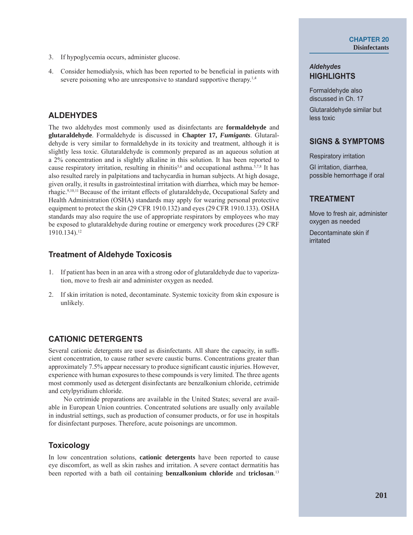- 3. If hypoglycemia occurs, administer glucose.
- 4. Consider hemodialysis, which has been reported to be beneficial in patients with severe poisoning who are unresponsive to standard supportive therapy.<sup>1,4</sup>

### **ALDEHYDES**

The two aldehydes most commonly used as disinfectants are **formaldehyde** and **glutaraldehyde**. Formaldehyde is discussed in **Chapter 17,** *Fumigants*. Glutaraldehyde is very similar to formaldehyde in its toxicity and treatment, although it is slightly less toxic. Glutaraldehyde is commonly prepared as an aqueous solution at a 2% concentration and is slightly alkaline in this solution. It has been reported to cause respiratory irritation, resulting in rhinitis<sup>5,6</sup> and occupational asthma.<sup>5,7,8</sup> It has also resulted rarely in palpitations and tachycardia in human subjects. At high dosage, given orally, it results in gastrointestinal irritation with diarrhea, which may be hemorrhagic.9,10,11 Because of the irritant effects of glutaraldehyde, Occupational Safety and Health Administration (OSHA) standards may apply for wearing personal protective equipment to protect the skin (29 CFR 1910.132) and eyes (29 CFR 1910.133). OSHA standards may also require the use of appropriate respirators by employees who may be exposed to glutaraldehyde during routine or emergency work procedures (29 CRF 1910.134).12

### **Treatment of Aldehyde Toxicosis**

- 1. If patient has been in an area with a strong odor of glutaraldehyde due to vaporization, move to fresh air and administer oxygen as needed.
- 2. If skin irritation is noted, decontaminate. Systemic toxicity from skin exposure is unlikely.

### **CATIONIC DETERGENTS**

Several cationic detergents are used as disinfectants. All share the capacity, in sufficient concentration, to cause rather severe caustic burns. Concentrations greater than approximately 7.5% appear necessary to produce significant caustic injuries. However, experience with human exposures to these compounds is very limited. The three agents most commonly used as detergent disinfectants are benzalkonium chloride, cetrimide and cetylpyridium chloride.

No cetrimide preparations are available in the United States; several are available in European Union countries. Concentrated solutions are usually only available in industrial settings, such as production of consumer products, or for use in hospitals for disinfectant purposes. Therefore, acute poisonings are uncommon.

#### **Toxicology**

In low concentration solutions, **cationic detergents** have been reported to cause eye discomfort, as well as skin rashes and irritation. A severe contact dermatitis has been reported with a bath oil containing **benzalkonium chloride** and **triclosan**. 13

### *Aldehydes* **HIGHLIGHTS**

Formaldehyde also discussed in Ch. 17

Glutaraldehyde similar but less toxic

#### **SIGNS & SYMPTOMS**

Respiratory irritation

GI irritation, diarrhea, possible hemorrhage if oral

### **TREATMENT**

Move to fresh air, administer oxygen as needed

Decontaminate skin if irritated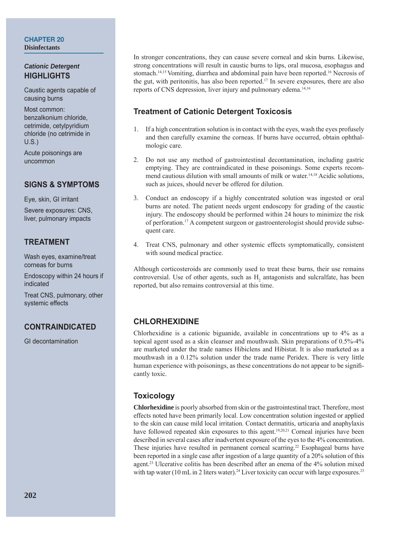#### *Cationic Detergent* **HIGHLIGHTS**

Caustic agents capable of causing burns

Most common: benzalkonium chloride, cetrimide, cetylpyridium chloride (no cetrimide in U.S.)

Acute poisonings are uncommon

### **SIGNS & SYMPTOMS**

Eye, skin, GI irritant

Severe exposures: CNS, liver, pulmonary impacts

# **TREATMENT**

Wash eyes, examine/treat corneas for burns

Endoscopy within 24 hours if indicated

Treat CNS, pulmonary, other systemic effects

# **CONTRAINDICATED**

GI decontamination

In stronger concentrations, they can cause severe corneal and skin burns. Likewise, strong concentrations will result in caustic burns to lips, oral mucosa, esophagus and stomach.14,15 Vomiting, diarrhea and abdominal pain have been reported.16 Necrosis of the gut, with peritonitis, has also been reported.17 In severe exposures, there are also reports of CNS depression, liver injury and pulmonary edema.14,16

# **Treatment of Cationic Detergent Toxicosis**

- 1. If a high concentration solution is in contact with the eyes, wash the eyes profusely and then carefully examine the corneas. If burns have occurred, obtain ophthalmologic care.
- 2. Do not use any method of gastrointestinal decontamination, including gastric emptying. They are contraindicated in these poisonings. Some experts recommend cautious dilution with small amounts of milk or water.<sup>14,18</sup> Acidic solutions, such as juices, should never be offered for dilution.
- 3. Conduct an endoscopy if a highly concentrated solution was ingested or oral burns are noted. The patient needs urgent endoscopy for grading of the caustic injury. The endoscopy should be performed within 24 hours to minimize the risk of perforation.17 A competent surgeon or gastroenterologist should provide subsequent care.
- 4. Treat CNS, pulmonary and other systemic effects symptomatically, consistent with sound medical practice.

Although corticosteroids are commonly used to treat these burns, their use remains controversial. Use of other agents, such as  $H_2$  antagonists and sulcralfate, has been reported, but also remains controversial at this time.

# **CHLORHEXIDINE**

Chlorhexidine is a cationic biguanide, available in concentrations up to 4% as a topical agent used as a skin cleanser and mouthwash. Skin preparations of 0.5%-4% are marketed under the trade names Hibiclens and Hibistat. It is also marketed as a mouthwash in a 0.12% solution under the trade name Peridex. There is very little human experience with poisonings, as these concentrations do not appear to be significantly toxic.

# **Toxicology**

**Chlorhexidine** is poorly absorbed from skin or the gastrointestinal tract. Therefore, most effects noted have been primarily local. Low concentration solution ingested or applied to the skin can cause mild local irritation. Contact dermatitis, urticaria and anaphylaxis have followed repeated skin exposures to this agent.<sup>19,20,21</sup> Corneal injuries have been described in several cases after inadvertent exposure of the eyes to the 4% concentration. These injuries have resulted in permanent corneal scarring.22 Esophageal burns have been reported in a single case after ingestion of a large quantity of a 20% solution of this agent.23 Ulcerative colitis has been described after an enema of the 4% solution mixed with tap water (10 mL in 2 liters water).<sup>24</sup> Liver toxicity can occur with large exposures.<sup>23</sup>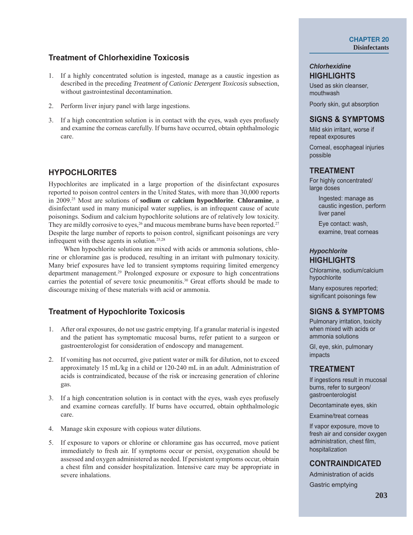### **Treatment of Chlorhexidine Toxicosis**

- 1. If a highly concentrated solution is ingested, manage as a caustic ingestion as described in the preceding *Treatment of Cationic Detergent Toxicosis* subsection, without gastrointestinal decontamination.
- 2. Perform liver injury panel with large ingestions.
- 3. If a high concentration solution is in contact with the eyes, wash eyes profusely and examine the corneas carefully. If burns have occurred, obtain ophthalmologic care.

#### **HYPOCHLORITES**

Hypochlorites are implicated in a large proportion of the disinfectant exposures reported to poison control centers in the United States, with more than 30,000 reports in 2009.25 Most are solutions of **sodium** or **calcium hypochlorite**. **Chloramine**, a disinfectant used in many municipal water supplies, is an infrequent cause of acute poisonings. Sodium and calcium hypochlorite solutions are of relatively low toxicity. They are mildly corrosive to eyes,<sup>26</sup> and mucous membrane burns have been reported.<sup>27</sup> Despite the large number of reports to poison control, significant poisonings are very infrequent with these agents in solution.25,28

When hypochlorite solutions are mixed with acids or ammonia solutions, chlorine or chloramine gas is produced, resulting in an irritant with pulmonary toxicity. Many brief exposures have led to transient symptoms requiring limited emergency department management.<sup>29</sup> Prolonged exposure or exposure to high concentrations carries the potential of severe toxic pneumonitis.30 Great efforts should be made to discourage mixing of these materials with acid or ammonia.

### **Treatment of Hypochlorite Toxicosis**

- 1. After oral exposures, do not use gastric emptying. If a granular material is ingested and the patient has symptomatic mucosal burns, refer patient to a surgeon or gastroenterologist for consideration of endoscopy and management.
- 2. If vomiting has not occurred, give patient water or milk for dilution, not to exceed approximately 15 mL/kg in a child or 120-240 mL in an adult. Administration of acids is contraindicated, because of the risk or increasing generation of chlorine gas.
- 3. If a high concentration solution is in contact with the eyes, wash eyes profusely and examine corneas carefully. If burns have occurred, obtain ophthalmologic care.
- 4. Manage skin exposure with copious water dilutions.
- 5. If exposure to vapors or chlorine or chloramine gas has occurred, move patient immediately to fresh air. If symptoms occur or persist, oxygenation should be assessed and oxygen administered as needed. If persistent symptoms occur, obtain a chest film and consider hospitalization. Intensive care may be appropriate in severe inhalations.

#### *Chlorhexidine* **HIGHLIGHTS**

Used as skin cleanser, mouthwash

Poorly skin, gut absorption

#### **SIGNS & SYMPTOMS**

Mild skin irritant, worse if repeat exposures

Corneal, esophageal injuries possible

#### **TREATMENT**

For highly concentrated/ large doses

> Ingested: manage as caustic ingestion, perform liver panel

Eye contact: wash, examine, treat corneas

#### *Hypochlorite*  **HIGHLIGHTS**

Chloramine, sodium/calcium hypochlorite

Many exposures reported; significant poisonings few

#### **SIGNS & SYMPTOMS**

Pulmonary irritation, toxicity when mixed with acids or ammonia solutions

GI, eye, skin, pulmonary impacts

#### **TREATMENT**

If ingestions result in mucosal burns, refer to surgeon/ gastroenterologist

Decontaminate eyes, skin

Examine/treat corneas

If vapor exposure, move to fresh air and consider oxygen administration, chest film, hospitalization

#### **CONTRAINDICATED**

Administration of acids Gastric emptying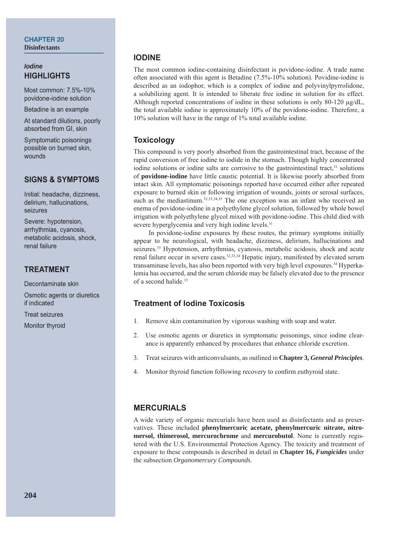#### *Iodine* **HIGHLIGHTS**

Most common: 7.5%-10% povidone-iodine solution

Betadine is an example

At standard dilutions, poorly absorbed from GI, skin

Symptomatic poisonings possible on burned skin, wounds

### **SIGNS & SYMPTOMS**

Initial: headache, dizziness, delirium, hallucinations, seizures

Severe: hypotension, arrhythmias, cyanosis, metabolic acidosis, shock, renal failure

### **TREATMENT**

Decontaminate skin Osmotic agents or diuretics if indicated Treat seizures

Monitor thyroid

### **IODINE**

The most common iodine-containing disinfectant is povidone-iodine. A trade name often associated with this agent is Betadine (7.5%-10% solution). Povidine-iodine is described as an iodophor, which is a complex of iodine and polyvinylpyrrolidone, a solubilizing agent. It is intended to liberate free iodine in solution for its effect. Although reported concentrations of iodine in these solutions is only 80-120 μg/dL, the total available iodine is approximately 10% of the povidone-iodine. Therefore, a 10% solution will have in the range of 1% total available iodine.

### **Toxicology**

This compound is very poorly absorbed from the gastrointestinal tract, because of the rapid conversion of free iodine to iodide in the stomach. Though highly concentrated iodine solutions or iodine salts are corrosive to the gastrointestinal tract, $3<sup>1</sup>$  solutions of **povidone-iodine** have little caustic potential. It is likewise poorly absorbed from intact skin. All symptomatic poisonings reported have occurred either after repeated exposure to burned skin or following irrigation of wounds, joints or serosal surfaces, such as the mediastinum.<sup>32,33,34,35</sup> The one exception was an infant who received an enema of povidone-iodine in a polyethylene glycol solution, followed by whole bowel irrigation with polyethylene glycol mixed with povidone-iodine. This child died with severe hyperglycemia and very high iodine levels.<sup>31</sup>

In povidone-iodine exposures by these routes, the primary symptoms initially appear to be neurological, with headache, dizziness, delirium, hallucinations and seizures.<sup>35</sup> Hypotension, arrhythmias, cyanosis, metabolic acidosis, shock and acute renal failure occur in severe cases.<sup>32,33,34</sup> Hepatic injury, manifested by elevated serum transaminase levels, has also been reported with very high level exposures.34 Hyperkalemia has occurred, and the serum chloride may be falsely elevated due to the presence of a second halide.33

# **Treatment of Iodine Toxicosis**

- 1. Remove skin contamination by vigorous washing with soap and water.
- 2. Use osmotic agents or diuretics in symptomatic poisonings, since iodine clearance is apparently enhanced by procedures that enhance chloride excretion.
- 3. Treat seizures with anticonvulsants, as outlined in **Chapter 3,** *General Principles*.
- 4. Monitor thyroid function following recovery to confirm euthyroid state.

# **MERCURIALS**

A wide variety of organic mercurials have been used as disinfectants and as preservatives. These included **phenylmercuric acetate, phenylmercuric nitrate, nitromersol, thimerosol, mercurochrome** and **mercurobutol**. None is currently registered with the U.S. Environmental Protection Agency. The toxicity and treatment of exposure to these compounds is described in detail in **Chapter 16,** *Fungicides* under the subsection *Organomercury Compounds*.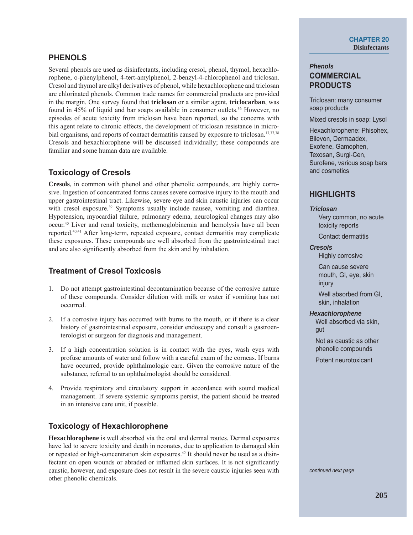### **PHENOLS**

Several phenols are used as disinfectants, including cresol, phenol, thymol, hexachlorophene, o-phenylphenol, 4-tert-amylphenol, 2-benzyl-4-chlorophenol and triclosan. Cresol and thymol are alkyl derivatives of phenol, while hexachlorophene and triclosan are chlorinated phenols. Common trade names for commercial products are provided in the margin. One survey found that **triclosan** or a similar agent, **triclocarban**, was found in 45% of liquid and bar soaps available in consumer outlets.<sup>36</sup> However, no episodes of acute toxicity from triclosan have been reported, so the concerns with this agent relate to chronic effects, the development of triclosan resistance in microbial organisms, and reports of contact dermatitis caused by exposure to triclosan.<sup>13,37,38</sup> Cresols and hexachlorophene will be discussed individually; these compounds are familiar and some human data are available.

# **Toxicology of Cresols**

**Cresols**, in common with phenol and other phenolic compounds, are highly corrosive. Ingestion of concentrated forms causes severe corrosive injury to the mouth and upper gastrointestinal tract. Likewise, severe eye and skin caustic injuries can occur with cresol exposure.<sup>39</sup> Symptoms usually include nausea, vomiting and diarrhea. Hypotension, myocardial failure, pulmonary edema, neurological changes may also occur.40 Liver and renal toxicity, methemoglobinemia and hemolysis have all been reported.40,41 After long-term, repeated exposure, contact dermatitis may complicate these exposures. These compounds are well absorbed from the gastrointestinal tract and are also significantly absorbed from the skin and by inhalation.

## **Treatment of Cresol Toxicosis**

- 1. Do not attempt gastrointestinal decontamination because of the corrosive nature of these compounds. Consider dilution with milk or water if vomiting has not occurred.
- 2. If a corrosive injury has occurred with burns to the mouth, or if there is a clear history of gastrointestinal exposure, consider endoscopy and consult a gastroenterologist or surgeon for diagnosis and management.
- 3. If a high concentration solution is in contact with the eyes, wash eyes with profuse amounts of water and follow with a careful exam of the corneas. If burns have occurred, provide ophthalmologic care. Given the corrosive nature of the substance, referral to an ophthalmologist should be considered.
- 4. Provide respiratory and circulatory support in accordance with sound medical management. If severe systemic symptoms persist, the patient should be treated in an intensive care unit, if possible.

# **Toxicology of Hexachlorophene**

**Hexachlorophene** is well absorbed via the oral and dermal routes. Dermal exposures have led to severe toxicity and death in neonates, due to application to damaged skin or repeated or high-concentration skin exposures.42 It should never be used as a disinfectant on open wounds or abraded or inflamed skin surfaces. It is not significantly caustic, however, and exposure does not result in the severe caustic injuries seen with other phenolic chemicals.

#### *Phenols* **COMMERCIAL PRODUCTS**

Triclosan: many consumer soap products

Mixed cresols in soap: Lysol

Hexachlorophene: Phisohex, Bilevon, Dermaadex, Exofene, Gamophen, Texosan, Surgi-Cen, Surofene, various soap bars and cosmetics

### **HIGHLIGHTS**

#### *Triclosan*

Very common, no acute toxicity reports

Contact dermatitis

#### *Cresols*

Highly corrosive

Can cause severe mouth, GI, eye, skin injury

Well absorbed from GI, skin, inhalation

#### *Hexachlorophene*

Well absorbed via skin. gut

Not as caustic as other phenolic compounds

Potent neurotoxicant

*continued next page*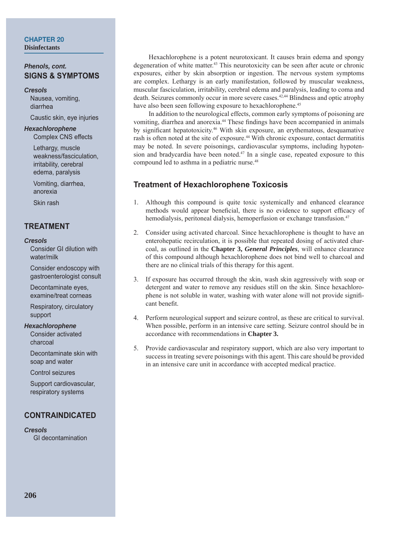#### *Phenols, cont.* **SIGNS & SYMPTOMS**

#### *Cresols*

Nausea, vomiting, diarrhea

Caustic skin, eye injuries

#### *Hexachlorophene*

Complex CNS effects

Lethargy, muscle weakness/fasciculation, irritability, cerebral edema, paralysis

Vomiting, diarrhea, anorexia

Skin rash

#### **TREATMENT**

#### *Cresols*

Consider GI dilution with water/milk

Consider endoscopy with gastroenterologist consult

Decontaminate eyes, examine/treat corneas

Respiratory, circulatory support

#### *Hexachlorophene*

Consider activated charcoal

Decontaminate skin with soap and water

Control seizures

Support cardiovascular, respiratory systems

### **CONTRAINDICATED**

*Cresols* GI decontamination

Hexachlorophene is a potent neurotoxicant. It causes brain edema and spongy degeneration of white matter.43 This neurotoxicity can be seen after acute or chronic exposures, either by skin absorption or ingestion. The nervous system symptoms are complex. Lethargy is an early manifestation, followed by muscular weakness, muscular fasciculation, irritability, cerebral edema and paralysis, leading to coma and death. Seizures commonly occur in more severe cases.42,44 Blindness and optic atrophy have also been seen following exposure to hexachlorophene.<sup>45</sup>

In addition to the neurological effects, common early symptoms of poisoning are vomiting, diarrhea and anorexia.<sup>44</sup> These findings have been accompanied in animals by significant hepatotoxicity.<sup>46</sup> With skin exposure, an erythematous, desquamative rash is often noted at the site of exposure.<sup>44</sup> With chronic exposure, contact dermatitis may be noted. In severe poisonings, cardiovascular symptoms, including hypotension and bradycardia have been noted.47 In a single case, repeated exposure to this compound led to asthma in a pediatric nurse.48

# **Treatment of Hexachlorophene Toxicosis**

- 1. Although this compound is quite toxic systemically and enhanced clearance methods would appear beneficial, there is no evidence to support efficacy of hemodialysis, peritoneal dialysis, hemoperfusion or exchange transfusion.<sup>47</sup>
- 2. Consider using activated charcoal. Since hexachlorophene is thought to have an enterohepatic recirculation, it is possible that repeated dosing of activated charcoal, as outlined in the **Chapter 3,** *General Principles*, will enhance clearance of this compound although hexachlorophene does not bind well to charcoal and there are no clinical trials of this therapy for this agent.
- 3. If exposure has occurred through the skin, wash skin aggressively with soap or detergent and water to remove any residues still on the skin. Since hexachlorophene is not soluble in water, washing with water alone will not provide significant benefit.
- 4. Perform neurological support and seizure control, as these are critical to survival. When possible, perform in an intensive care setting. Seizure control should be in accordance with recommendations in **Chapter 3.**
- 5. Provide cardiovascular and respiratory support, which are also very important to success in treating severe poisonings with this agent. This care should be provided in an intensive care unit in accordance with accepted medical practice.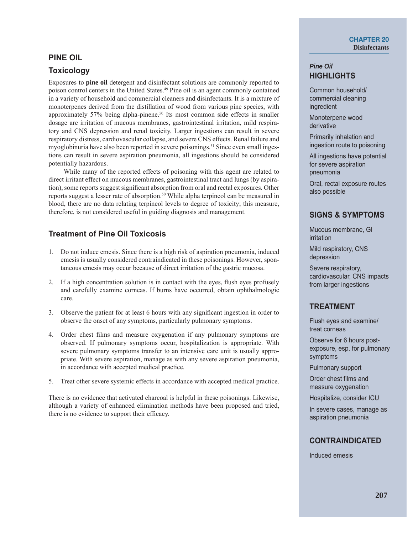#### **PINE OIL**

## **Toxicology**

Exposures to **pine oil** detergent and disinfectant solutions are commonly reported to poison control centers in the United States.49 Pine oil is an agent commonly contained in a variety of household and commercial cleaners and disinfectants. It is a mixture of monoterpenes derived from the distillation of wood from various pine species, with approximately 57% being alpha-pinene.<sup>50</sup> Its most common side effects in smaller dosage are irritation of mucous membranes, gastrointestinal irritation, mild respiratory and CNS depression and renal toxicity. Larger ingestions can result in severe respiratory distress, cardiovascular collapse, and severe CNS effects. Renal failure and myoglobinuria have also been reported in severe poisonings.<sup>51</sup> Since even small ingestions can result in severe aspiration pneumonia, all ingestions should be considered potentially hazardous.

While many of the reported effects of poisoning with this agent are related to direct irritant effect on mucous membranes, gastrointestinal tract and lungs (by aspiration), some reports suggest significant absorption from oral and rectal exposures. Other reports suggest a lesser rate of absorption.<sup>50</sup> While alpha terpineol can be measured in blood, there are no data relating terpineol levels to degree of toxicity; this measure, therefore, is not considered useful in guiding diagnosis and management.

# **Treatment of Pine Oil Toxicosis**

- 1. Do not induce emesis. Since there is a high risk of aspiration pneumonia, induced emesis is usually considered contraindicated in these poisonings. However, spontaneous emesis may occur because of direct irritation of the gastric mucosa.
- 2. If a high concentration solution is in contact with the eyes, flush eyes profusely and carefully examine corneas. If burns have occurred, obtain ophthalmologic care.
- 3. Observe the patient for at least 6 hours with any significant ingestion in order to observe the onset of any symptoms, particularly pulmonary symptoms.
- 4. Order chest films and measure oxygenation if any pulmonary symptoms are observed. If pulmonary symptoms occur, hospitalization is appropriate. With severe pulmonary symptoms transfer to an intensive care unit is usually appropriate. With severe aspiration, manage as with any severe aspiration pneumonia, in accordance with accepted medical practice.
- 5. Treat other severe systemic effects in accordance with accepted medical practice.

There is no evidence that activated charcoal is helpful in these poisonings. Likewise, although a variety of enhanced elimination methods have been proposed and tried, there is no evidence to support their efficacy.

#### **CHAPTER 20 Disinfectants**

#### *Pine Oil* **HIGHLIGHTS**

Common household/ commercial cleaning ingredient

Monoterpene wood derivative

Primarily inhalation and ingestion route to poisoning

All ingestions have potential for severe aspiration pneumonia

Oral, rectal exposure routes also possible

#### **SIGNS & SYMPTOMS**

Mucous membrane, GI irritation

Mild respiratory, CNS depression

Severe respiratory, cardiovascular, CNS impacts from larger ingestions

#### **TREATMENT**

Flush eyes and examine/ treat corneas

Observe for 6 hours postexposure, esp. for pulmonary symptoms

Pulmonary support

Order chest films and measure oxygenation

Hospitalize, consider ICU

In severe cases, manage as aspiration pneumonia

#### **CONTRAINDICATED**

Induced emesis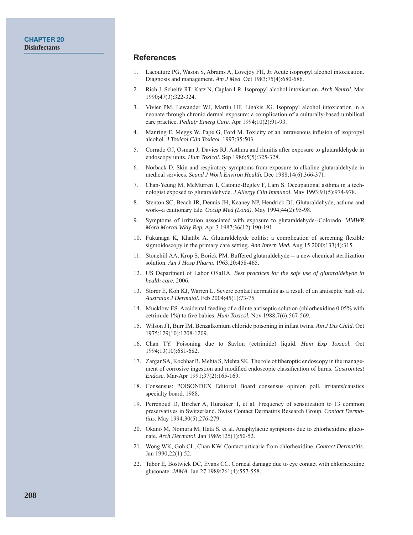#### **References**

- 1. Lacouture PG, Wason S, Abrams A, Lovejoy FH, Jr. Acute isopropyl alcohol intoxication. Diagnosis and management. *Am J Med*. Oct 1983;75(4):680-686.
- 2. Rich J, Scheife RT, Katz N, Caplan LR. Isopropyl alcohol intoxication. *Arch Neurol*. Mar 1990;47(3):322-324.
- 3. Vivier PM, Lewander WJ, Martin HF, Linakis JG. Isopropyl alcohol intoxication in a neonate through chronic dermal exposure: a complication of a culturally-based umbilical care practice. *Pediatr Emerg Care.* Apr 1994;10(2):91-93.
- 4. Manring E, Meggs W, Pape G, Ford M. Toxicity of an intravenous infusion of isopropyl alcohol. *J Toxicol Clin Toxicol.* 1997;35:503.
- 5. Corrado OJ, Osman J, Davies RJ. Asthma and rhinitis after exposure to glutaraldehyde in endoscopy units. *Hum Toxicol*. Sep 1986;5(5):325-328.
- 6. Norback D. Skin and respiratory symptoms from exposure to alkaline glutaraldehyde in medical services. *Scand J Work Environ Health.* Dec 1988;14(6):366-371.
- 7. Chan-Yeung M, McMurren T, Catonio-Begley F, Lam S. Occupational asthma in a technologist exposed to glutaraldehyde. *J Allergy Clin Immunol.* May 1993;91(5):974-978.
- 8. Stenton SC, Beach JR, Dennis JH, Keaney NP, Hendrick DJ. Glutaraldehyde, asthma and work--a cautionary tale. *Occup Med (Lond)*. May 1994;44(2):95-98.
- 9. Symptoms of irritation associated with exposure to glutaraldehyde--Colorado. *MMWR Morb Mortal Wkly Rep.* Apr 3 1987;36(12):190-191.
- 10. Fukunaga K, Khatibi A. Glutaraldehyde colitis: a complication of screening flexible sigmoidoscopy in the primary care setting. *Ann Intern Med.* Aug 15 2000;133(4):315.
- 11. Stonehill AA, Krop S, Borick PM. Buffered glutaraldehyde -- a new chemical sterilization solution. *Am J Hosp Pharm*. 1963;20:458-465.
- 12. US Department of Labor OSaHA. *Best practices for the safe use of glutaraldehyde in health care.* 2006.
- 13. Storer E, Koh KJ, Warren L. Severe contact dermatitis as a result of an antiseptic bath oil. *Australas J Dermatol.* Feb 2004;45(1):73-75.
- 14. Mucklow ES. Accidental feeding of a dilute antiseptic solution (chlorhexidine 0.05% with cetrimide 1%) to five babies. *Hum Toxicol*. Nov 1988;7(6):567-569.
- 15. Wilson JT, Burr IM. Benzalkonium chloride poisoning in infant twins. *Am J Dis Child*. Oct 1975;129(10):1208-1209.
- 16. Chan TY. Poisoning due to Savlon (cetrimide) liquid. *Hum Exp Toxicol.* Oct 1994;13(10):681-682.
- 17. Zargar SA, Kochhar R, Mehta S, Mehta SK. The role of fiberoptic endoscopy in the management of corrosive ingestion and modified endoscopic classification of burns. *Gastrointest Endosc.* Mar-Apr 1991;37(2):165-169.
- 18. Consensus: POISONDEX Editorial Board consensus opinion poll, irritants/caustics specialty board. 1988.
- 19. Perrenoud D, Bircher A, Hunziker T, et al. Frequency of sensitization to 13 common preservatives in Switzerland. Swiss Contact Dermatitis Research Group. *Contact Dermatitis.* May 1994;30(5):276-279.
- 20. Okano M, Nomura M, Hata S, et al. Anaphylactic symptoms due to chlorhexidine gluconate. *Arch Dermatol*. Jan 1989;125(1):50-52.
- 21. Wong WK, Goh CL, Chan KW. Contact urticaria from chlorhexidine. *Contact Dermatitis.*  Jan 1990;22(1):52.
- 22. Tabor E, Bostwick DC, Evans CC. Corneal damage due to eye contact with chlorhexidine gluconate. *JAMA*. Jan 27 1989;261(4):557-558.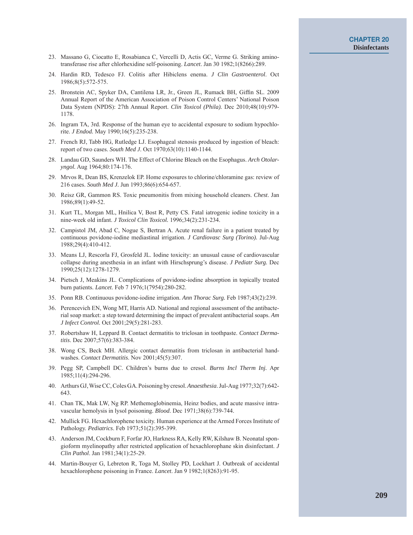- 23. Massano G, Ciocatto E, Rosabianca C, Vercelli D, Actis GC, Verme G. Striking aminotransferase rise after chlorhexidine self-poisoning. *Lancet*. Jan 30 1982;1(8266):289.
- 24. Hardin RD, Tedesco FJ. Colitis after Hibiclens enema. *J Clin Gastroenterol*. Oct 1986;8(5):572-575.
- 25. Bronstein AC, Spyker DA, Cantilena LR, Jr., Green JL, Rumack BH, Giffin SL. 2009 Annual Report of the American Association of Poison Control Centers' National Poison Data System (NPDS): 27th Annual Report. *Clin Toxicol (Phila).* Dec 2010;48(10):979- 1178.
- 26. Ingram TA, 3rd. Response of the human eye to accidental exposure to sodium hypochlorite. *J Endod.* May 1990;16(5):235-238.
- 27. French RJ, Tabb HG, Rutledge LJ. Esophageal stenosis produced by ingestion of bleach: report of two cases. *South Med J*. Oct 1970;63(10):1140-1144.
- 28. Landau GD, Saunders WH. The Effect of Chlorine Bleach on the Esophagus. *Arch Otolaryngol.* Aug 1964;80:174-176.
- 29. Mrvos R, Dean BS, Krenzelok EP. Home exposures to chlorine/chloramine gas: review of 216 cases. *South Med J.* Jun 1993;86(6):654-657.
- 30. Reisz GR, Gammon RS. Toxic pneumonitis from mixing household cleaners. *Chest*. Jan 1986;89(1):49-52.
- 31. Kurt TL, Morgan ML, Hnilica V, Bost R, Petty CS. Fatal iatrogenic iodine toxicity in a nine-week old infant. *J Toxicol Clin Toxicol.* 1996;34(2):231-234.
- 32. Campistol JM, Abad C, Nogue S, Bertran A. Acute renal failure in a patient treated by continuous povidone-iodine mediastinal irrigation. *J Cardiovasc Surg (Torino).* Jul-Aug 1988;29(4):410-412.
- 33. Means LJ, Rescorla FJ, Grosfeld JL. Iodine toxicity: an unusual cause of cardiovascular collapse during anesthesia in an infant with Hirschsprung's disease. *J Pediatr Surg.* Dec 1990;25(12):1278-1279.
- 34. Pietsch J, Meakins JL. Complications of povidone-iodine absorption in topically treated burn patients. *Lancet*. Feb 7 1976;1(7954):280-282.
- 35. Ponn RB. Continuous povidone-iodine irrigation. *Ann Thorac Surg.* Feb 1987;43(2):239.
- 36. Perencevich EN, Wong MT, Harris AD. National and regional assessment of the antibacterial soap market: a step toward determining the impact of prevalent antibacterial soaps. *Am J Infect Control.* Oct 2001;29(5):281-283.
- 37. Robertshaw H, Leppard B. Contact dermatitis to triclosan in toothpaste. *Contact Dermatitis*. Dec 2007;57(6):383-384.
- 38. Wong CS, Beck MH. Allergic contact dermatitis from triclosan in antibacterial handwashes. *Contact Dermatitis*. Nov 2001;45(5):307.
- 39. Pegg SP, Campbell DC. Children's burns due to cresol. *Burns Incl Therm Inj.* Apr 1985;11(4):294-296.
- 40. Arthurs GJ, Wise CC, Coles GA. Poisoning by cresol. *Anaesthesia*. Jul-Aug 1977;32(7):642- 643.
- 41. Chan TK, Mak LW, Ng RP. Methemoglobinemia, Heinz bodies, and acute massive intravascular hemolysis in lysol poisoning. *Blood*. Dec 1971;38(6):739-744.
- 42. Mullick FG. Hexachlorophene toxicity. Human experience at the Armed Forces Institute of Pathology. *Pediatrics*. Feb 1973;51(2):395-399.
- 43. Anderson JM, Cockburn F, Forfar JO, Harkness RA, Kelly RW, Kilshaw B. Neonatal spongioform myelinopathy after restricted application of hexachlorophane skin disinfectant. *J Clin Pathol*. Jan 1981;34(1):25-29.
- 44. Martin-Bouyer G, Lebreton R, Toga M, Stolley PD, Lockhart J. Outbreak of accidental hexachlorophene poisoning in France. *Lancet*. Jan 9 1982;1(8263):91-95.